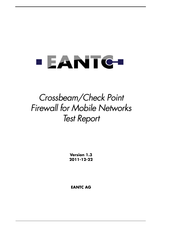# **EANTG**

## *Crossbeam/Check Point Firewall for Mobile Networks Test Report*

**Version 1.3 2011-12-22**

**EANTC AG**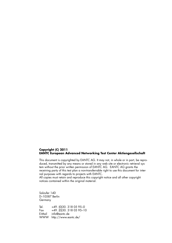### **Copyright (C) 2011 EANTC European Advanced Networking Test Center Aktiengesellschaft**

This document is copyrighted by EANTC AG. It may not, in whole or in part, be reproduced, transmitted by any means or stored in any web site or electronic retrieval system without the prior written permission of EANTC AG. EANTC AG grants the receiving party of this test plan a non-transferrable right to use this document for internal purposes with regards to projects with EANTC.

All copies must retain and reproduce this copyright notice and all other copyright notices contained within the original material.

Salzufer 14D D–10587 Berlin **Germany** 

Tel. +49. (0)30. 318 05 95–0 Fax  $+49.$  (0)30. 318 05 95-10 E-Mail info@eantc.de WWW http://www.eantc.de/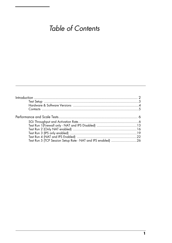## Table of Contents

| Test Run 5 (TCP Session Setup Rate - NAT and IPS enabled) 26 |  |
|--------------------------------------------------------------|--|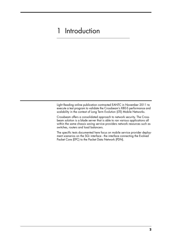## <span id="page-3-0"></span>1 Introduction

Light Reading online publication contracted EANTC in November 2011 to execute a test program to validate the Crossbeam's X80-S performance and scalability in the context of Long Term Evolution (LTE) Mobile Networks.

Crossbeam offers a consolidated approach to network security. The Crossbeam solution is a blade server that is able to ran various applications all within the same chassis saving service providers network resources such as switches, routers and load balancers.

The specific tests documented here focus on mobile service provider deployment scenarios on the SGi interface - the interface connecting the Evolved Packet Core (EPC) to the Packet Data Network (PDN).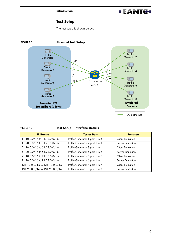

### **Test Setup**

The test setup is shown below.

<span id="page-4-0"></span>

| TABLE 1. | <b>Test Setup - Interface Details</b> |
|----------|---------------------------------------|
|          |                                       |

| <b>IP Range</b>                | <b>Tester Port</b>              | <b>Function</b>         |
|--------------------------------|---------------------------------|-------------------------|
| 11.10.0.0/16 to 11.13.0.0/16   | Traffic Generator 1 port 1 to 4 | <b>Client Emulation</b> |
| 11.20.0.0/16 to 11.23.0.0/16   | Traffic Generator 2 port 1 to 4 | Server Emulation        |
| 51.10.0.0/16 to 51.13.0.0/16   | Traffic Generator 3 port 1 to 4 | <b>Client Emulation</b> |
| 51.20.0.0/16 to 51.23.0.0/16   | Traffic Generator 4 port 1 to 4 | Server Emulation        |
| 91.10.0.0/16 to 91.13.0.0/16   | Traffic Generator 5 port 1 to 4 | <b>Client Emulation</b> |
| 91.20.0.0/16 to 91.23.0.0/16   | Traffic Generator 6 port 1 to 4 | Server Emulation        |
| 131.10.0.0/16 to 131.13.0.0/16 | Traffic Generator 7 port 1 to 4 | <b>Client Emulation</b> |
| 131.20.0.0/16 to 131.23.0.0/16 | Traffic Generator 8 port 1 to 4 | Server Emulation        |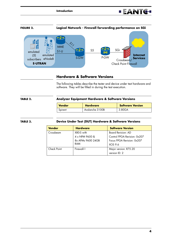



### **Hardware & Software Versions**

The following tables describe the tester and device under test hardware and software. They will be filled in during the test execution.

<span id="page-5-0"></span>

| TABLE 2. | Analyzer Equipment Hardware & Software Versions |                 |                         |  |
|----------|-------------------------------------------------|-----------------|-------------------------|--|
|          | <b>Vendor</b>                                   | <b>Hardware</b> | <b>Software Version</b> |  |
|          | Spirent                                         | Avalanche 3100B | 3.80GA                  |  |

### **TABLE 3. Device Under Test (DUT) Hardware & Software Versions**

| <b>Vendor</b> | <b>Hardware</b>   | <b>Software Version</b>      |
|---------------|-------------------|------------------------------|
| Crossbeam     | X80-S with        | <b>Board Revision: AD</b>    |
|               | 4 x NPM 9650 &    | Control FPGA Revision: 0x207 |
|               | 8x APMs 9600 24GB | Focus FPGA Revision: 0x207   |
|               | RAM               | XOS 9.6                      |
| Check Point   | Firewall-1        | Major version: R75.20        |
|               |                   | version ID: 2                |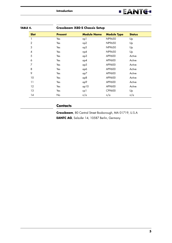![](_page_6_Picture_1.jpeg)

| TABLE 4.     | <b>Crossbeam X80-S Chassis Setup</b> |                    |                    |               |
|--------------|--------------------------------------|--------------------|--------------------|---------------|
| <b>Slot</b>  | <b>Present</b>                       | <b>Module Name</b> | <b>Module Type</b> | <b>Status</b> |
|              | Yes                                  | np1                | NP9650             | Up            |
| $\mathbf{2}$ | Yes                                  | np2                | NP9650             | Up            |
| 3            | Yes                                  | np3                | NP9650             | Up            |
| 4            | Yes                                  | np4                | NP9650             | Up            |
| 5            | Yes                                  | ap3                | AP9600             | Active        |
| 6            | Yes                                  | ap4                | AP9600             | Active        |
| 7            | Yes                                  | ap5                | AP9600             | Active        |
| 8            | Yes                                  | ap6                | AP9600             | Active        |
| 9            | Yes                                  | ap7                | AP9600             | Active        |
| 10           | Yes                                  | ap8                | AP9600             | Active        |
| 11           | Yes                                  | ap9                | AP9600             | Active        |
| 12           | Yes                                  | ap10               | AP9600             | Active        |
| 13           | Yes                                  | cp1                | CP9600             | Up            |
| 14           | No                                   | n/a                | n/a                | n/a           |

### <span id="page-6-0"></span>**Contacts**

**Crossbeam**, 80 Central Street Boxborough, MA 01719, U.S.A **EANTC AG**, Salzufer 14, 10587 Berlin, Germany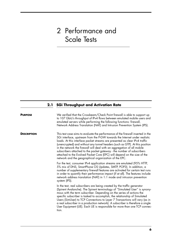## <span id="page-7-0"></span>2 Performance and Scale Tests

### **2.1 SGi Throughput and Activation Rate**

<span id="page-7-1"></span>

| We verified that the Crossbeam/Check Point firewall is able to support up<br>to 107 Gbit/s throughput of IPv4 flows between emulated mobile users and<br>emulated servers while performing the following functions: firewall,<br>Network Address Translation (NAT) and Intrusion Prevention System (IPS).                                                                                                                                                                                                                                                                                                              |
|------------------------------------------------------------------------------------------------------------------------------------------------------------------------------------------------------------------------------------------------------------------------------------------------------------------------------------------------------------------------------------------------------------------------------------------------------------------------------------------------------------------------------------------------------------------------------------------------------------------------|
| This test case aims to evaluate the performance of the firewall inserted in the<br>SGi interface, upstream from the P-GW towards the Internet under realistic<br>loads. At this interface packet streams are presented as clear IPv4 traffic<br>(unencrypted) and without any tunnel headers (such as GTP). At this position<br>in the network the firewall will deal with an aggregation of all mobile<br>subscribers attached to the packet gateway - the number of subscribers<br>attached to the Evolved Packet Core (EPC) will depend on the size of the<br>network and the geographical organization of the EPC. |
| For the test, consumer IPv4 application streams are emulated (95% HTTP,<br>5% mix of DNS, SmartPhone OS Updates, SMTP, POP3). In addition, a<br>number of supplementary firewall features are activated for certain test runs<br>in order to quantify their performance impact (if at all). The features include<br>network address translation (NAT) in 1:1 mode and intrusion prevention<br>system (IPS).                                                                                                                                                                                                            |
| In the test, real subscribers are being created by the traffic generator<br>(Spirent Avalanche). The Spirent terminology of "Simulated User" is synony-<br>mous with the term subscriber. Depending on the series of actions the<br>specific subscriber is tasked to accomplish, the relationship of Simulated<br>Users (SimUser) to TCP Connections to Layer 7 Transactions will vary (as in<br>a real subscriber in a production network). A subscriber is therefore a single<br>User Equipment (UE). Each UE is responsible for more than one TCP connec-<br>tion.                                                  |
|                                                                                                                                                                                                                                                                                                                                                                                                                                                                                                                                                                                                                        |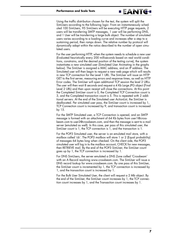### **Performance and Scale Tests**

Using the traffic distribution chosen for the test, the system will split the SimUsers according to the following logic: From an instantaneously scheduled 100 SimUsers, 95 SimUsers will be executing HTTP page requests, 2 users will be transferring SMTP messages, 1 user will be performing DNS, and 1 User will be transferring a large bulk object. The number of simulated users varies according to a loading curve and increases after a step to a sustaining period, then ramps down. The relative number by protocol will dynamically adapt within the ratios described to the number of open simulated users.

**EANTG-**

For the user performing HTTP, when the system needs to schedule a new user (Evaluated heuristically every 200 milliseconds based on real world conditions, constrains, and the desired position of the testing curve), the system instantiates a new simulated user (Simulated User Animating in the graphs below). The SimUser is assigned a MAC address, and an IP address. The Simulated user will then begin to request a new web page which will results in new TCP connection for the Level 1 URL. The SimUser will issue an HTTP GET to the first server, measuring errors and response times, as well as HTTP Error codes. The SimUser will open additional TCP session the level 2 URLs. The user will then wait 8 seconds and request a 4 Kb Large JPG object (Final Level 2 URL) and then upon receipt will close the connections. At this point the Completed SimUser count is 0, the Completed TCP Connection count is 3, and the Completed transaction count is 5. This is repeated with 2 additional servers. At the end of the Simulated user ActionList, the SimUser is deallocated. Per simulated user pass, the SimUser count is increased by 1, TCP Connection count is increased by 9, and transaction count is increased by 15.

For the SMTP Simulated user, a TCP Connection is opened, and an SMTP message is formed with an attachment of 64 Kb bytes from user1@crossbeam.com to user2@crossbeam.com, and then the message is sent to a mail server (emulated as well). In this case, per pass of this simulated user, the SimUser count is 1, the TCP connection is 1, and the transaction is 1.

For the POP3 Simulated user, the server is an emulated mail store, with a mailbox called 'cb'. The POP3 mailbox will store 1 or 2 (Equal probability) of messages 64 bytes long when checked. On the client side, the POP3 simulated user will log in to the mailbox account, CHECK for new messages, then RETRIEVE mail. By the end of the POP3 SimUser, the SimUser count goes up by 1, the TCP connection is increased by 1.

For DNS SimUsers, the server emulated a DNS Zone called 'Crossbeam' with an A Record resolving www.crossbeam.com. The SimUser will issue a DNS record lookup for www.crossbeam.com. By one pass of this SimUser, the SimUser count is incremented by 1, the TCP connection is increased by 1, and the transaction count is increased by 1.

For the Bulk User Simulated User, the client will request a 2 Mb object. By the end of the SimUser, the SimUser count increases by 1, the TCP connection count increases by 1, and the Transaction count increases by 1.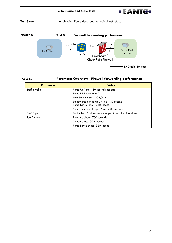### **EANTG-**

### **TEST SETUP** The following figure describes the logical test setup.

![](_page_9_Figure_3.jpeg)

### <span id="page-9-0"></span>**TABLE 5. Parameter Overview - Firewall forwarding performance**

| <b>Parameter</b>       | <b>Value</b>                                                             |
|------------------------|--------------------------------------------------------------------------|
| <b>Traffic Profile</b> | Ramp Up Time = 30 seconds per step,                                      |
|                        | Ramp UP Repetition= 5                                                    |
|                        | Stair Step Height = 208,000                                              |
|                        | Steady time per Ramp UP step = 30 second<br>Ramp Down Time = 240 seconds |
|                        | Steady time per Ramp UP step = 80 seconds                                |
| NAT Type               | Each client IP addresses is mapped to another IP address                 |
| <b>Test Duration</b>   | Ramp up phase: 750 seconds                                               |
|                        | Steady phase: 300 seconds                                                |
|                        | Ramp Down phase: 320 seconds                                             |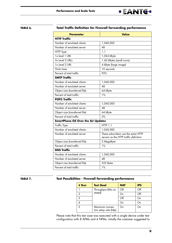![](_page_10_Picture_1.jpeg)

### <span id="page-10-0"></span>**TABLE 6. Total Traffic Definition for Firewall forwarding performance**

| <b>Parameter</b>                          | <b>Value</b>                                                                  |
|-------------------------------------------|-------------------------------------------------------------------------------|
| <b>HTTP Traffic</b>                       |                                                                               |
| Number of emulated clients                | 1,040,000                                                                     |
| Number of emulated server                 | 48                                                                            |
| HTTP Type                                 | 1.1                                                                           |
| 1x level 1 URL                            | 1,024 kByte                                                                   |
| 3x Level 2 URLs                           | 1.60 kBytes (small icons)                                                     |
| 1x Level 2 URL                            | 4 kByte (large image)                                                         |
| Think timer                               | 10 seconds                                                                    |
| Percent of total traffic                  | 95%                                                                           |
| <b>SMTP Traffic</b>                       |                                                                               |
| Number of emulated clients                | 1,040,000                                                                     |
| Number of emulated server                 | 48                                                                            |
| Object size (transferred file)            | 64 kByte                                                                      |
| Percent of total traffic                  | 1%                                                                            |
| <b>POP3 Traffic</b>                       |                                                                               |
| Number of emulated clients                | 1,040,000                                                                     |
| Number of emulated server                 | 48                                                                            |
| Object size (transferred file)            | 64 kByte                                                                      |
| Percent of total traffic                  | 2%                                                                            |
| <b>SmartPhone OS Over the Air Updates</b> |                                                                               |
| Traffic Type                              | <b>HTTP 1.1</b>                                                               |
| Number of emulated clients                | 1,040,000                                                                     |
| Number of emulated server                 | These subscribers use the same HTTP<br>servers as the HTTP traffic definition |
| Object size (transferred file)            | 2 MegaByte                                                                    |
| Percent of total traffic                  | 1%                                                                            |
| <b>DNS Traffic</b>                        |                                                                               |
| Number of emulated clients                | 1,040,000                                                                     |
| Number of emulated server                 | 48                                                                            |
| Object size (transferred file)            | 552 Bytes                                                                     |
| Percent of total traffic                  | 1%                                                                            |

### <span id="page-10-1"></span>**TABLE 7. Test Possibilities - Firewall forwarding performance**

| # Run | <b>Test Goal</b>                          | <b>NAT</b> | <b>IPS</b> |
|-------|-------------------------------------------|------------|------------|
|       | Throughput (Mix as                        | Off        | Off        |
| っ     | stated)                                   | On         | Off        |
| 3     |                                           | Off        | On         |
|       |                                           | On         | On         |
| 5     | Maximum connec-<br>tion setup rate (http) | On         | On         |

Please note that this test case was executed with a single device under test configuration with 8 APMs and 4 NPMs. Intially the customer suggested to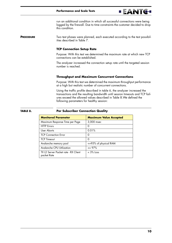![](_page_11_Picture_1.jpeg)

run an additional condition in which all successful connections were being logged by the firewall. Due to time constraints the customer decided to drop this condition.

**PROCEDURE** Two test phases were planned, each executed according to the test possibilities described in [Table](#page-10-1) 7.

### **TCP Connection Setup Rate**

Purpose: With this test we determined the maximum rate at which new TCP connections can be established.

The analyzer increased the connection setup rate until the targeted session number is reached.

### **Throughput and Maximum Concurrent Connections**

Purpose: With this test we determined the maximum throughput performance at a high but realistic number of concurrent connections.

Using the traffic profile described in [table](#page-10-0) 6, the analyzer increased the transactions and the resulting bandwidth until session timeouts and TCP failures exceed the allowed values described in [Table](#page-11-0) 8.We defined the following parameters for healthy session:

### <span id="page-11-0"></span>**TABLE 8. Per Subscriber Connection Quality**

| <b>Monitored Parameter</b>                          | <b>Maximum Value Accepted</b> |
|-----------------------------------------------------|-------------------------------|
| Maximum Response Time per Page                      | 3,000 msec                    |
| <b>HTTP</b> Errors                                  | O                             |
| User Aborts                                         | 0.01%                         |
| <b>TCP Connection Frror</b>                         | O                             |
| <b>TCP Timeout</b>                                  | Ω                             |
| Avalanche memory pool                               | <=95% of physical RAM         |
| Avalanche CPU Utilization                           | $\epsilon = 97\%$             |
| TX L2 Server Packet rate - RX Client<br>packet Rate | $<$ 3% loss                   |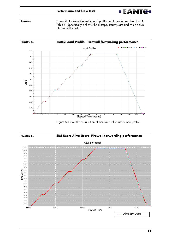![](_page_12_Picture_1.jpeg)

**RESULTS** [Figure 4](#page-12-1) illustrates the traffic load profile configuration as described in [Table](#page-9-0) 5. Specifically it shows the 5 steps, steady-state and ramp-down phases of the test.

<span id="page-12-1"></span>![](_page_12_Figure_3.jpeg)

[Figure 5](#page-12-0) shows the distribution of simulated alive users load profile.

<span id="page-12-0"></span>![](_page_12_Figure_5.jpeg)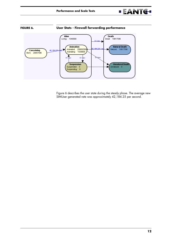![](_page_13_Picture_1.jpeg)

<span id="page-13-0"></span>![](_page_13_Figure_2.jpeg)

[Figure 6](#page-13-0) describes the user state during the steady phase. The average new SIMUser generated rate was approximately 42,184.25 per second.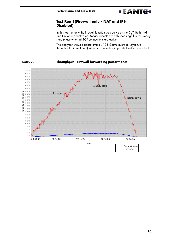### <span id="page-14-0"></span>**Test Run 1(Firewall only - NAT and IPS Disabled)**

In this test run only the firewall function was active on the DUT. Both NAT and IPS were deactivated. Measurements are only meaningful in the steady state phase when all TCP connections are active.

**EANTG-**

The analyzer showed approximately 108 Gbit/s average Layer two throughput (bidirectional) when maximum traffic profile load was reached.

![](_page_14_Figure_4.jpeg)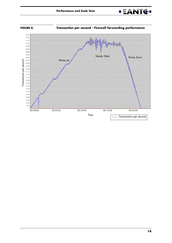![](_page_15_Picture_1.jpeg)

![](_page_15_Figure_2.jpeg)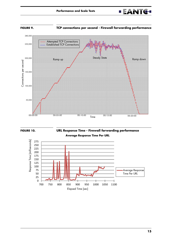![](_page_16_Picture_1.jpeg)

![](_page_16_Figure_2.jpeg)

**FIGURE 9. TCP connections per second - Firewall forwarding performance**

![](_page_16_Figure_4.jpeg)

![](_page_16_Figure_5.jpeg)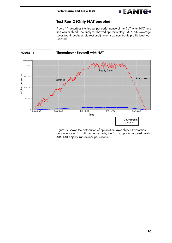### **Test Run 2 (Only NAT enabled)**

[Figure 11](#page-17-1) describes the throughput performance of the DUT when NAT function was enabled. The analyzer showed approximately 107 Gbit/s average Layer two throughput (bidirectional) when maximum traffic profile load was reached.

**EANTG-**

<span id="page-17-1"></span><span id="page-17-0"></span>![](_page_17_Figure_3.jpeg)

![](_page_17_Figure_4.jpeg)

[Figure 12](#page-18-0) shows the distribution of application layer objects transaction performance of DUT. At the steady state, the DUT supported approximately 585,158 objects transactions per second.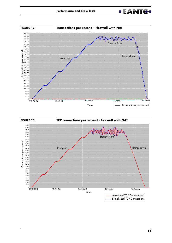![](_page_18_Picture_1.jpeg)

<span id="page-18-0"></span>![](_page_18_Figure_2.jpeg)

![](_page_18_Figure_3.jpeg)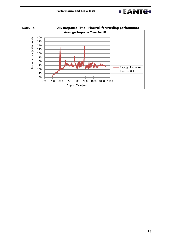![](_page_19_Picture_1.jpeg)

![](_page_19_Figure_2.jpeg)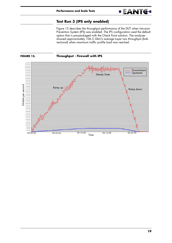![](_page_20_Picture_1.jpeg)

### **Test Run 3 (IPS only enabled)**

[Figure 15](#page-20-1) describes the throughput performance of the DUT when Intrusion Prevention System (IPS) was enabled. The IPS configuration used the default option that is pre-packaged with the Check Point solution. The analyzer showed approximately 106.5 Gbit/s average Layer two throughput (bidirectional) when maximum traffic profile load was reached.

<span id="page-20-1"></span><span id="page-20-0"></span>![](_page_20_Figure_4.jpeg)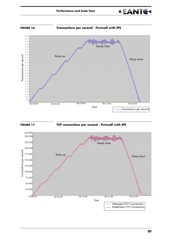![](_page_21_Picture_1.jpeg)

![](_page_21_Figure_2.jpeg)

![](_page_21_Figure_3.jpeg)

![](_page_21_Figure_4.jpeg)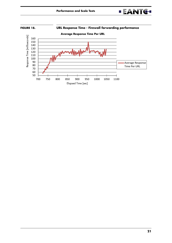![](_page_22_Picture_1.jpeg)

![](_page_22_Figure_2.jpeg)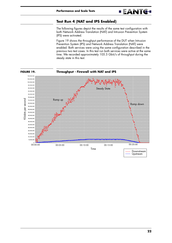### **EANTG-**

### <span id="page-23-0"></span>**Test Run 4 (NAT and IPS Enabled)**

The following figures depict the results of the same test configuration with both Network Address Translation (NAT) and Intrusion Prevention System (IPS) were activated.

[Figure 19](#page-23-1) shows the throughput performance of the DUT when Intrusion Prevention System (IPS) and Network Address Translation (NAT) were enabled. Both services were using the same configuration described in the previous two test cases. In this test run both services were active at the same time. We recorded approximately 105.5 Gbit/s of throughput during the steady state in this test.

<span id="page-23-1"></span>![](_page_23_Figure_5.jpeg)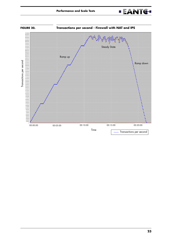![](_page_24_Picture_1.jpeg)

![](_page_24_Figure_2.jpeg)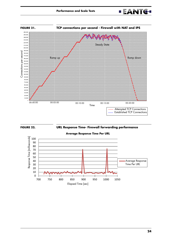![](_page_25_Picture_1.jpeg)

![](_page_25_Figure_2.jpeg)

![](_page_25_Figure_3.jpeg)

**FIGURE 22. URL Response Time- Firewall forwarding performance**

![](_page_25_Figure_5.jpeg)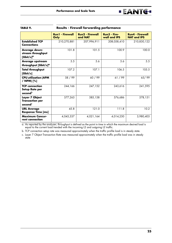|                                                                 | <b>Run1 - Firewall</b><br>Only | <b>Run2 - Firewall</b><br>and NAT | Run3 - Fire-<br>wall and IPS | <b>Run4 - Firewall</b><br><b>NAT and IPS</b> |
|-----------------------------------------------------------------|--------------------------------|-----------------------------------|------------------------------|----------------------------------------------|
| <b>Established TCP</b><br><b>Connections</b>                    | 210,270,881                    | 207,996,911                       | 208,058,410                  | 210,830,122                                  |
| Average down-<br>stream throughput<br>$[Gbit/s]^\alpha$         | 101.8                          | 101.5                             | 100.9                        | 100.0                                        |
| <b>Average upstream</b><br>throughput [Gbit/s] <sup>a</sup>     | 5.5                            | 5.6                               | 5.6                          | 5.5                                          |
| <b>Total throughput</b><br>[Gbit/s]                             | 107.2                          | 107.1                             | 106.5                        | 105.5                                        |
| <b>CPU utilization (APM</b><br>/ NPM) [%]                       | 58 / 99                        | 60 / 99                           | 61/99                        | 65/99                                        |
| <b>TCP</b> connection<br><b>Setup Rate per</b><br>secondb       | 244,166                        | 247,152                           | 243,616                      | 241,595                                      |
| Layer 7 Object<br><b>Transaction per</b><br>second <sup>c</sup> | 577,263                        | 585,158                           | 576,686                      | 578,151                                      |
| <b>URL Average</b><br><b>Response Time [ms]</b>                 | 45.8                           | 121.0                             | 111.8                        | 10.2                                         |
| <b>Maximum Concur-</b><br>rent connection                       | 4,045,337                      | 4,021,164                         | 4,014,250                    | 3,980,403                                    |

| TABLE 9. | <b>Results - Firewall forwarding performance</b> |  |
|----------|--------------------------------------------------|--|
|          |                                                  |  |

a. As reported by the analyzer; throughput is defined as the point in time in which the maximum desired load is equal to the current load trended with the incoming L2 and outgoing L2 traffic.

b. TCP connection setup rate was measured approximately when the traffic profile load is in steady state.

c. Layer 7 Object Transaction Rate was measured approximately when the traffic profile load was in steady state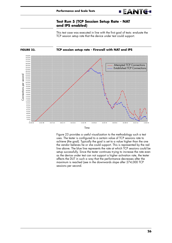![](_page_27_Picture_1.jpeg)

This test case was executed in line with the first goal of tests: evaluate the TCP session setup rate that the device under test could support.

**EANTG-**

<span id="page-27-1"></span><span id="page-27-0"></span>![](_page_27_Figure_3.jpeg)

Time

[Figure 23](#page-27-1) provides a useful visualization to the methodology such a test uses. The tester is configured to a certain value of TCP sessions rate to achieve (the goal). Typically the goal is set to a value higher than the one the vendor believes he or she could support. This is represented by the red line above. The blue line represents the rate at which TCP sessions could be setup successfully. Since the tester continues trying to increase the rate even as the device under test can not support a higher activation rate, the tester affects the DUT in such a way that the performance decreases after the maximum is reached (see in the downwards slope after 274,000 TCP sessions per second.